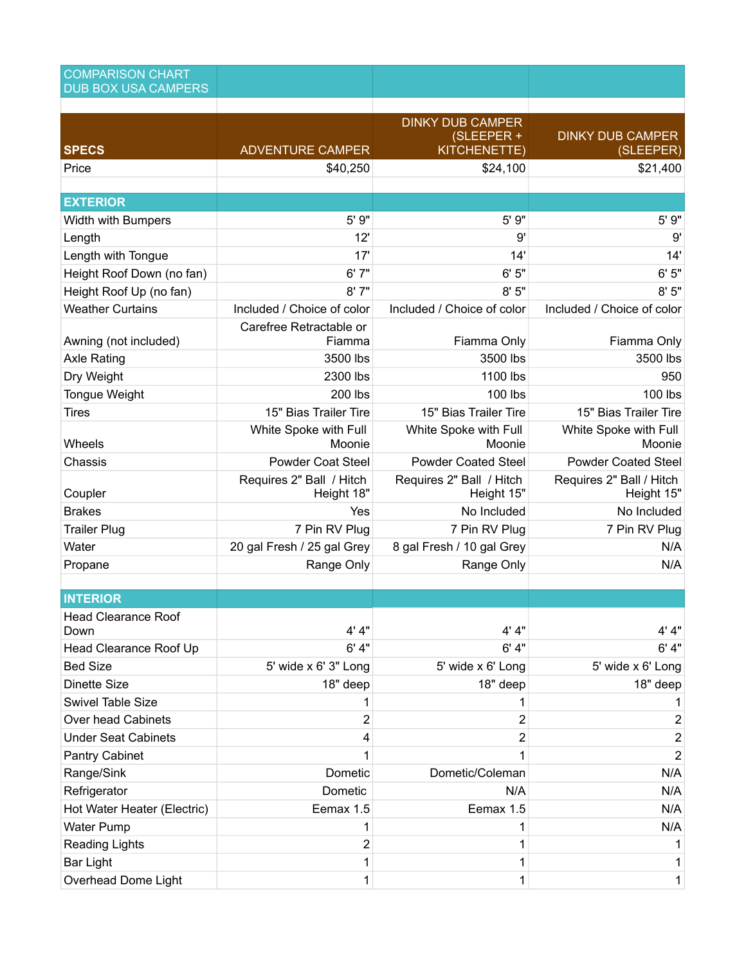| <b>COMPARISON CHART</b><br><b>DUB BOX USA CAMPERS</b> |                                        |                                        |                                        |
|-------------------------------------------------------|----------------------------------------|----------------------------------------|----------------------------------------|
|                                                       |                                        |                                        |                                        |
|                                                       |                                        | <b>DINKY DUB CAMPER</b>                |                                        |
| <b>SPECS</b>                                          | <b>ADVENTURE CAMPER</b>                | (SLEEPER +<br>KITCHENETTE)             | <b>DINKY DUB CAMPER</b><br>(SLEEPER)   |
| Price                                                 | \$40,250                               | \$24,100                               | \$21,400                               |
|                                                       |                                        |                                        |                                        |
| <b>EXTERIOR</b>                                       |                                        |                                        |                                        |
| <b>Width with Bumpers</b>                             | 5' 9"                                  | 5' 9"                                  | 5' 9"                                  |
| Length                                                | 12'                                    | 9'                                     | 9'                                     |
| Length with Tongue                                    | 17'                                    | 14'                                    | 14'                                    |
| Height Roof Down (no fan)                             | 6'7''                                  | 6'5''                                  | 6'5''                                  |
| Height Roof Up (no fan)                               | 8'7''                                  | 8'5''                                  | 8'5''                                  |
| <b>Weather Curtains</b>                               | Included / Choice of color             | Included / Choice of color             | Included / Choice of color             |
|                                                       | Carefree Retractable or                |                                        |                                        |
| Awning (not included)                                 | Fiamma<br>3500 lbs                     | Fiamma Only<br>3500 lbs                | Fiamma Only<br>3500 lbs                |
| <b>Axle Rating</b>                                    | 2300 lbs                               | 1100 lbs                               | 950                                    |
| Dry Weight<br><b>Tongue Weight</b>                    | 200 lbs                                | 100 lbs                                | 100 lbs                                |
| <b>Tires</b>                                          | 15" Bias Trailer Tire                  | 15" Bias Trailer Tire                  | 15" Bias Trailer Tire                  |
|                                                       | White Spoke with Full                  | White Spoke with Full                  | White Spoke with Full                  |
| Wheels                                                | Moonie                                 | Moonie                                 | Moonie                                 |
| Chassis                                               | <b>Powder Coat Steel</b>               | <b>Powder Coated Steel</b>             | <b>Powder Coated Steel</b>             |
| Coupler                                               | Requires 2" Ball / Hitch<br>Height 18" | Requires 2" Ball / Hitch<br>Height 15" | Requires 2" Ball / Hitch<br>Height 15" |
| <b>Brakes</b>                                         | Yes                                    | No Included                            | No Included                            |
| <b>Trailer Plug</b>                                   | 7 Pin RV Plug                          | 7 Pin RV Plug                          | 7 Pin RV Plug                          |
| Water                                                 | 20 gal Fresh / 25 gal Grey             | 8 gal Fresh / 10 gal Grey              | N/A                                    |
| Propane                                               | Range Only                             | Range Only                             | N/A                                    |
|                                                       |                                        |                                        |                                        |
| <b>INTERIOR</b>                                       |                                        |                                        |                                        |
| <b>Head Clearance Roof</b><br>Down                    | 4' 4"                                  | 4' 4"                                  | 4' 4"                                  |
| Head Clearance Roof Up                                | 6' 4"                                  | 6' 4"                                  | 6' 4''                                 |
| <b>Bed Size</b>                                       | 5' wide x 6' 3" Long                   | 5' wide x 6' Long                      | 5' wide x 6' Long                      |
| <b>Dinette Size</b>                                   | 18" deep                               | 18" deep                               | 18" deep                               |
| Swivel Table Size                                     | 1                                      | 1                                      |                                        |
| <b>Over head Cabinets</b>                             | 2                                      | $\overline{2}$                         | 2                                      |
| <b>Under Seat Cabinets</b>                            | 4                                      | $\overline{2}$                         | $\overline{c}$                         |
| Pantry Cabinet                                        | 1                                      |                                        | $\overline{2}$                         |
| Range/Sink                                            | Dometic                                | Dometic/Coleman                        | N/A                                    |
| Refrigerator                                          | Dometic                                | N/A                                    | N/A                                    |
| Hot Water Heater (Electric)                           | Eemax 1.5                              | Eemax 1.5                              | N/A                                    |
| <b>Water Pump</b>                                     | 1                                      |                                        | N/A                                    |
| <b>Reading Lights</b>                                 | 2                                      | 1                                      |                                        |
| <b>Bar Light</b>                                      | 1                                      | 1                                      | 1                                      |
| Overhead Dome Light                                   | 1                                      | 1                                      | 1                                      |